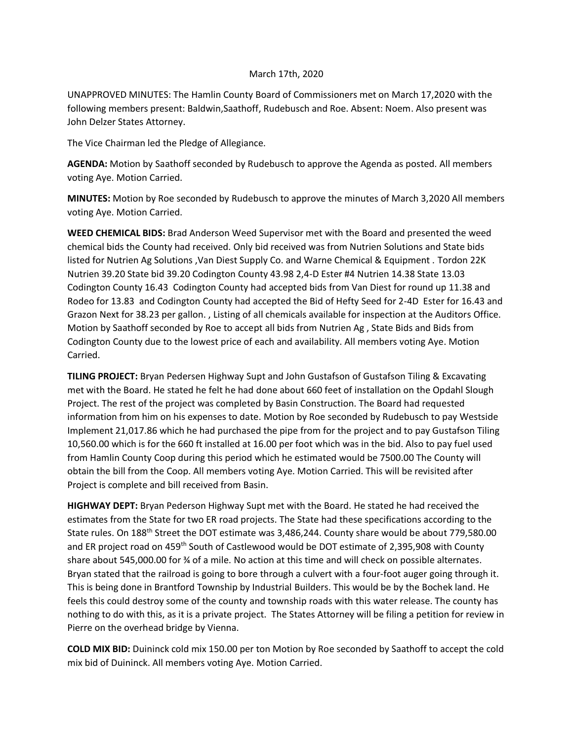## March 17th, 2020

UNAPPROVED MINUTES: The Hamlin County Board of Commissioners met on March 17,2020 with the following members present: Baldwin,Saathoff, Rudebusch and Roe. Absent: Noem. Also present was John Delzer States Attorney.

The Vice Chairman led the Pledge of Allegiance.

**AGENDA:** Motion by Saathoff seconded by Rudebusch to approve the Agenda as posted. All members voting Aye. Motion Carried.

**MINUTES:** Motion by Roe seconded by Rudebusch to approve the minutes of March 3,2020 All members voting Aye. Motion Carried.

**WEED CHEMICAL BIDS:** Brad Anderson Weed Supervisor met with the Board and presented the weed chemical bids the County had received. Only bid received was from Nutrien Solutions and State bids listed for Nutrien Ag Solutions ,Van Diest Supply Co. and Warne Chemical & Equipment . Tordon 22K Nutrien 39.20 State bid 39.20 Codington County 43.98 2,4-D Ester #4 Nutrien 14.38 State 13.03 Codington County 16.43 Codington County had accepted bids from Van Diest for round up 11.38 and Rodeo for 13.83 and Codington County had accepted the Bid of Hefty Seed for 2-4D Ester for 16.43 and Grazon Next for 38.23 per gallon. , Listing of all chemicals available for inspection at the Auditors Office. Motion by Saathoff seconded by Roe to accept all bids from Nutrien Ag , State Bids and Bids from Codington County due to the lowest price of each and availability. All members voting Aye. Motion Carried.

**TILING PROJECT:** Bryan Pedersen Highway Supt and John Gustafson of Gustafson Tiling & Excavating met with the Board. He stated he felt he had done about 660 feet of installation on the Opdahl Slough Project. The rest of the project was completed by Basin Construction. The Board had requested information from him on his expenses to date. Motion by Roe seconded by Rudebusch to pay Westside Implement 21,017.86 which he had purchased the pipe from for the project and to pay Gustafson Tiling 10,560.00 which is for the 660 ft installed at 16.00 per foot which was in the bid. Also to pay fuel used from Hamlin County Coop during this period which he estimated would be 7500.00 The County will obtain the bill from the Coop. All members voting Aye. Motion Carried. This will be revisited after Project is complete and bill received from Basin.

**HIGHWAY DEPT:** Bryan Pederson Highway Supt met with the Board. He stated he had received the estimates from the State for two ER road projects. The State had these specifications according to the State rules. On 188<sup>th</sup> Street the DOT estimate was 3,486,244. County share would be about 779,580.00 and ER project road on 459th South of Castlewood would be DOT estimate of 2,395,908 with County share about 545,000.00 for ¾ of a mile. No action at this time and will check on possible alternates. Bryan stated that the railroad is going to bore through a culvert with a four-foot auger going through it. This is being done in Brantford Township by Industrial Builders. This would be by the Bochek land. He feels this could destroy some of the county and township roads with this water release. The county has nothing to do with this, as it is a private project. The States Attorney will be filing a petition for review in Pierre on the overhead bridge by Vienna.

**COLD MIX BID:** Duininck cold mix 150.00 per ton Motion by Roe seconded by Saathoff to accept the cold mix bid of Duininck. All members voting Aye. Motion Carried.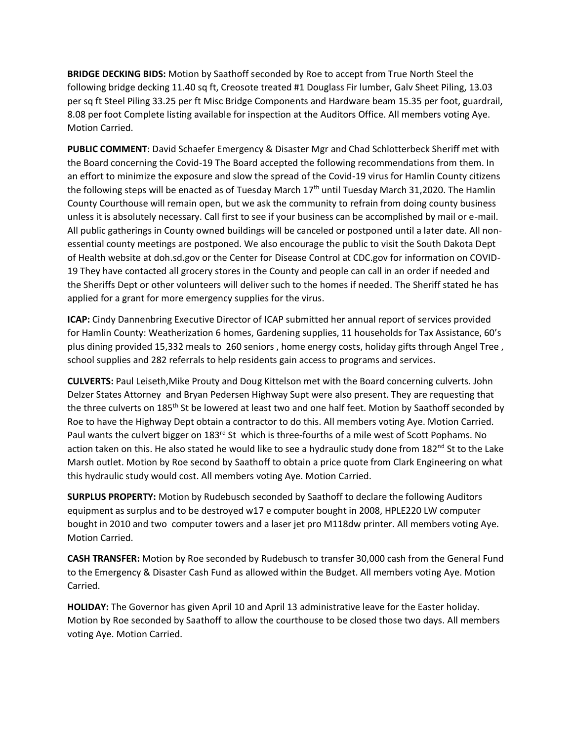**BRIDGE DECKING BIDS:** Motion by Saathoff seconded by Roe to accept from True North Steel the following bridge decking 11.40 sq ft, Creosote treated #1 Douglass Fir lumber, Galv Sheet Piling, 13.03 per sq ft Steel Piling 33.25 per ft Misc Bridge Components and Hardware beam 15.35 per foot, guardrail, 8.08 per foot Complete listing available for inspection at the Auditors Office. All members voting Aye. Motion Carried.

**PUBLIC COMMENT**: David Schaefer Emergency & Disaster Mgr and Chad Schlotterbeck Sheriff met with the Board concerning the Covid-19 The Board accepted the following recommendations from them. In an effort to minimize the exposure and slow the spread of the Covid-19 virus for Hamlin County citizens the following steps will be enacted as of Tuesday March 17<sup>th</sup> until Tuesday March 31,2020. The Hamlin County Courthouse will remain open, but we ask the community to refrain from doing county business unless it is absolutely necessary. Call first to see if your business can be accomplished by mail or e-mail. All public gatherings in County owned buildings will be canceled or postponed until a later date. All nonessential county meetings are postponed. We also encourage the public to visit the South Dakota Dept of Health website at doh.sd.gov or the Center for Disease Control at CDC.gov for information on COVID-19 They have contacted all grocery stores in the County and people can call in an order if needed and the Sheriffs Dept or other volunteers will deliver such to the homes if needed. The Sheriff stated he has applied for a grant for more emergency supplies for the virus.

**ICAP:** Cindy Dannenbring Executive Director of ICAP submitted her annual report of services provided for Hamlin County: Weatherization 6 homes, Gardening supplies, 11 households for Tax Assistance, 60's plus dining provided 15,332 meals to 260 seniors , home energy costs, holiday gifts through Angel Tree , school supplies and 282 referrals to help residents gain access to programs and services.

**CULVERTS:** Paul Leiseth,Mike Prouty and Doug Kittelson met with the Board concerning culverts. John Delzer States Attorney and Bryan Pedersen Highway Supt were also present. They are requesting that the three culverts on 185<sup>th</sup> St be lowered at least two and one half feet. Motion by Saathoff seconded by Roe to have the Highway Dept obtain a contractor to do this. All members voting Aye. Motion Carried. Paul wants the culvert bigger on 183<sup>rd</sup> St which is three-fourths of a mile west of Scott Pophams. No action taken on this. He also stated he would like to see a hydraulic study done from 182<sup>nd</sup> St to the Lake Marsh outlet. Motion by Roe second by Saathoff to obtain a price quote from Clark Engineering on what this hydraulic study would cost. All members voting Aye. Motion Carried.

**SURPLUS PROPERTY:** Motion by Rudebusch seconded by Saathoff to declare the following Auditors equipment as surplus and to be destroyed w17 e computer bought in 2008, HPLE220 LW computer bought in 2010 and two computer towers and a laser jet pro M118dw printer. All members voting Aye. Motion Carried.

**CASH TRANSFER:** Motion by Roe seconded by Rudebusch to transfer 30,000 cash from the General Fund to the Emergency & Disaster Cash Fund as allowed within the Budget. All members voting Aye. Motion Carried.

**HOLIDAY:** The Governor has given April 10 and April 13 administrative leave for the Easter holiday. Motion by Roe seconded by Saathoff to allow the courthouse to be closed those two days. All members voting Aye. Motion Carried.